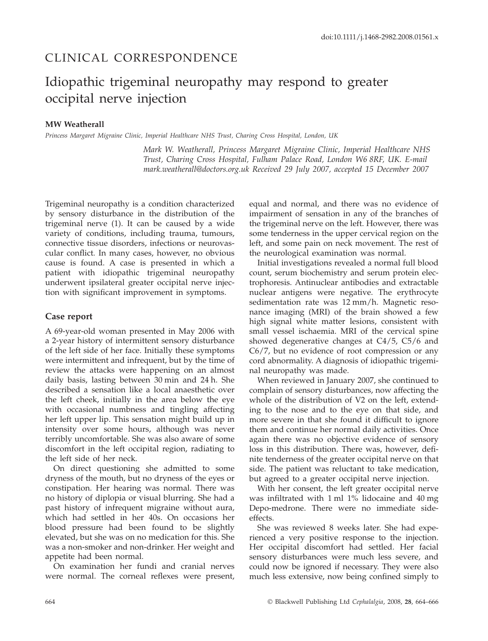# CLINICAL CORRESPONDENCE

# Idiopathic trigeminal neuropathy may respond to greater occipital nerve injection

## **MW Weatherall**

*Princess Margaret Migraine Clinic, Imperial Healthcare NHS Trust, Charing Cross Hospital, London, UK*

*Mark W. Weatherall, Princess Margaret Migraine Clinic, Imperial Healthcare NHS Trust, Charing Cross Hospital, Fulham Palace Road, London W6 8RF, UK. E-mail mark.weatherall@doctors.org.uk Received 29 July 2007, accepted 15 December 2007*

Trigeminal neuropathy is a condition characterized by sensory disturbance in the distribution of the trigeminal nerve (1). It can be caused by a wide variety of conditions, including trauma, tumours, connective tissue disorders, infections or neurovascular conflict. In many cases, however, no obvious cause is found. A case is presented in which a patient with idiopathic trigeminal neuropathy underwent ipsilateral greater occipital nerve injection with significant improvement in symptoms.

#### **Case report**

A 69-year-old woman presented in May 2006 with a 2-year history of intermittent sensory disturbance of the left side of her face. Initially these symptoms were intermittent and infrequent, but by the time of review the attacks were happening on an almost daily basis, lasting between 30 min and 24 h. She described a sensation like a local anaesthetic over the left cheek, initially in the area below the eye with occasional numbness and tingling affecting her left upper lip. This sensation might build up in intensity over some hours, although was never terribly uncomfortable. She was also aware of some discomfort in the left occipital region, radiating to the left side of her neck.

On direct questioning she admitted to some dryness of the mouth, but no dryness of the eyes or constipation. Her hearing was normal. There was no history of diplopia or visual blurring. She had a past history of infrequent migraine without aura, which had settled in her 40s. On occasions her blood pressure had been found to be slightly elevated, but she was on no medication for this. She was a non-smoker and non-drinker. Her weight and appetite had been normal.

On examination her fundi and cranial nerves were normal. The corneal reflexes were present, equal and normal, and there was no evidence of impairment of sensation in any of the branches of the trigeminal nerve on the left. However, there was some tenderness in the upper cervical region on the left, and some pain on neck movement. The rest of the neurological examination was normal.

Initial investigations revealed a normal full blood count, serum biochemistry and serum protein electrophoresis. Antinuclear antibodies and extractable nuclear antigens were negative. The erythrocyte sedimentation rate was 12 mm/h. Magnetic resonance imaging (MRI) of the brain showed a few high signal white matter lesions, consistent with small vessel ischaemia. MRI of the cervical spine showed degenerative changes at C4/5, C5/6 and C6/7, but no evidence of root compression or any cord abnormality. A diagnosis of idiopathic trigeminal neuropathy was made.

When reviewed in January 2007, she continued to complain of sensory disturbances, now affecting the whole of the distribution of V2 on the left, extending to the nose and to the eye on that side, and more severe in that she found it difficult to ignore them and continue her normal daily activities. Once again there was no objective evidence of sensory loss in this distribution. There was, however, definite tenderness of the greater occipital nerve on that side. The patient was reluctant to take medication, but agreed to a greater occipital nerve injection.

With her consent, the left greater occipital nerve was infiltrated with 1 ml 1% lidocaine and 40 mg Depo-medrone. There were no immediate sideeffects.

She was reviewed 8 weeks later. She had experienced a very positive response to the injection. Her occipital discomfort had settled. Her facial sensory disturbances were much less severe, and could now be ignored if necessary. They were also much less extensive, now being confined simply to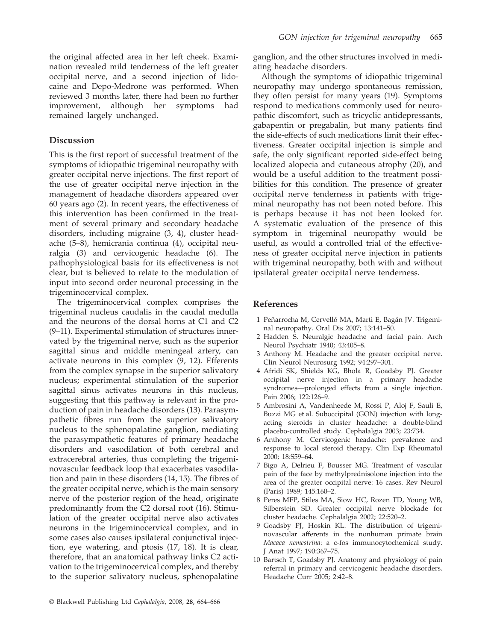the original affected area in her left cheek. Examination revealed mild tenderness of the left greater occipital nerve, and a second injection of lidocaine and Depo-Medrone was performed. When reviewed 3 months later, there had been no further improvement, although her symptoms had remained largely unchanged.

### **Discussion**

This is the first report of successful treatment of the symptoms of idiopathic trigeminal neuropathy with greater occipital nerve injections. The first report of the use of greater occipital nerve injection in the management of headache disorders appeared over 60 years ago (2). In recent years, the effectiveness of this intervention has been confirmed in the treatment of several primary and secondary headache disorders, including migraine (3, 4), cluster headache (5–8), hemicrania continua (4), occipital neuralgia (3) and cervicogenic headache (6). The pathophysiological basis for its effectiveness is not clear, but is believed to relate to the modulation of input into second order neuronal processing in the trigeminocervical complex.

The trigeminocervical complex comprises the trigeminal nucleus caudalis in the caudal medulla and the neurons of the dorsal horns at C1 and C2 (9–11). Experimental stimulation of structures innervated by the trigeminal nerve, such as the superior sagittal sinus and middle meningeal artery, can activate neurons in this complex (9, 12). Efferents from the complex synapse in the superior salivatory nucleus; experimental stimulation of the superior sagittal sinus activates neurons in this nucleus, suggesting that this pathway is relevant in the production of pain in headache disorders (13). Parasympathetic fibres run from the superior salivatory nucleus to the sphenopalatine ganglion, mediating the parasympathetic features of primary headache disorders and vasodilation of both cerebral and extracerebral arteries, thus completing the trigeminovascular feedback loop that exacerbates vasodilation and pain in these disorders (14, 15). The fibres of the greater occipital nerve, which is the main sensory nerve of the posterior region of the head, originate predominantly from the C2 dorsal root (16). Stimulation of the greater occipital nerve also activates neurons in the trigeminocervical complex, and in some cases also causes ipsilateral conjunctival injection, eye watering, and ptosis (17, 18). It is clear, therefore, that an anatomical pathway links C2 activation to the trigeminocervical complex, and thereby to the superior salivatory nucleus, sphenopalatine

ganglion, and the other structures involved in mediating headache disorders.

Although the symptoms of idiopathic trigeminal neuropathy may undergo spontaneous remission, they often persist for many years (19). Symptoms respond to medications commonly used for neuropathic discomfort, such as tricyclic antidepressants, gabapentin or pregabalin, but many patients find the side-effects of such medications limit their effectiveness. Greater occipital injection is simple and safe, the only significant reported side-effect being localized alopecia and cutaneous atrophy (20), and would be a useful addition to the treatment possibilities for this condition. The presence of greater occipital nerve tenderness in patients with trigeminal neuropathy has not been noted before. This is perhaps because it has not been looked for. A systematic evaluation of the presence of this symptom in trigeminal neuropathy would be useful, as would a controlled trial of the effectiveness of greater occipital nerve injection in patients with trigeminal neuropathy, both with and without ipsilateral greater occipital nerve tenderness.

#### **References**

- 1 Peñarrocha M, Cervelló MA, Marti E, Bagán JV. Trigeminal neuropathy. Oral Dis 2007; 13:141–50.
- 2 Hadden S. Neuralgic headache and facial pain. Arch Neurol Psychiatr 1940; 43:405–8.
- 3 Anthony M. Headache and the greater occipital nerve. Clin Neurol Neurosurg 1992; 94:297–301.
- 4 Afridi SK, Shields KG, Bhola R, Goadsby PJ. Greater occipital nerve injection in a primary headache syndromes—prolonged effects from a single injection. Pain 2006; 122:126–9.
- 5 Ambrosini A, Vandenheede M, Rossi P, Aloj F, Sauli E, Buzzi MG et al. Suboccipital (GON) injection with longacting steroids in cluster headache: a double-blind placebo-controlled study. Cephalalgia 2003; 23:734.
- 6 Anthony M. Cervicogenic headache: prevalence and response to local steroid therapy. Clin Exp Rheumatol 2000; 18:S59–64.
- 7 Bigo A, Delrieu F, Bousser MG. Treatment of vascular pain of the face by methylprednisolone injection into the area of the greater occipital nerve: 16 cases. Rev Neurol (Paris) 1989; 145:160–2.
- 8 Peres MFP, Stiles MA, Siow HC, Rozen TD, Young WB, Silberstein SD. Greater occipital nerve blockade for cluster headache. Cephalalgia 2002; 22:520–2.
- 9 Goadsby PJ, Hoskin KL. The distribution of trigeminovascular afferents in the nonhuman primate brain *Macaca nemestrina*: a c-fos immunocytochemical study. J Anat 1997; 190:367–75.
- 10 Bartsch T, Goadsby PJ. Anatomy and physiology of pain referral in primary and cervicogenic headache disorders. Headache Curr 2005; 2:42–8.